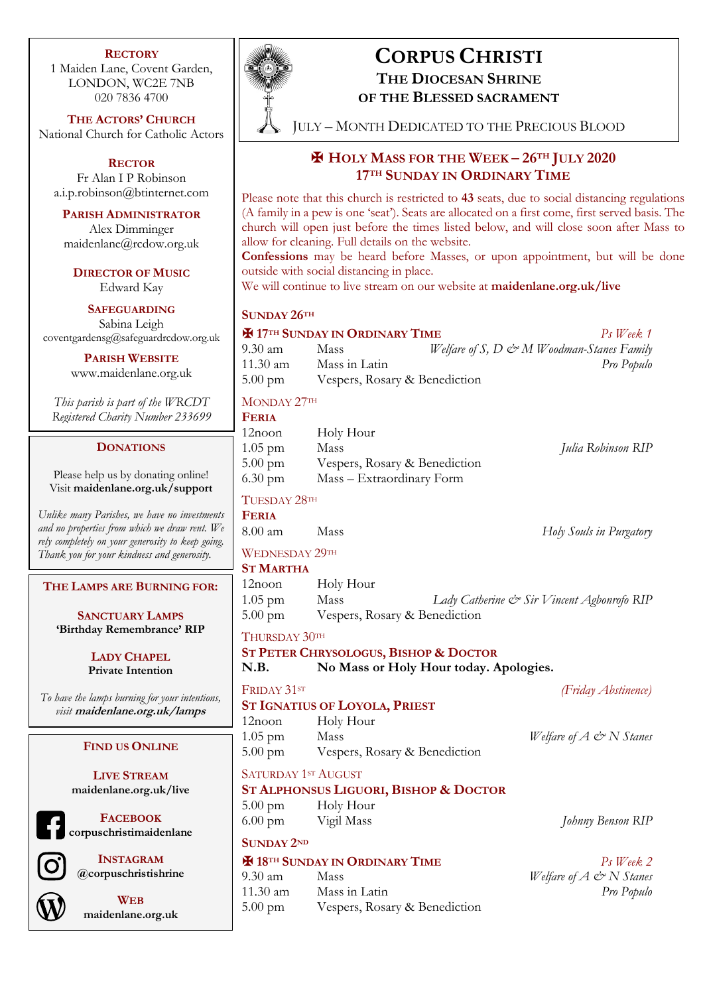#### **RECTORY**

1 Maiden Lane, Covent Garden, LONDON, WC2E 7NB 020 7836 4700

**THE ACTORS' CHURCH** National Church for Catholic Actors

**RECTOR** Fr Alan I P Robinson a.i.p.robinson@btinternet.com

**PARISH ADMINISTRATOR** Alex Dimminger maidenlane@rcdow.org.uk

**DIRECTOR OF MUSIC** Edward Kay

**SAFEGUARDING** Sabina Leigh coventgardensg@safeguardrcdow.org.uk

**PARISH WEBSITE**

www.maidenlane.org.uk

*This parish is part of the WRCDT Registered Charity Number 233699*

#### **DONATIONS**

Please help us by donating online! Visit **maidenlane.org.uk/support**

*Unlike many Parishes, we have no investments and no properties from which we draw rent. We rely completely on your generosity to keep going. Thank you for your kindness and generosity.* 

**THE LAMPS ARE BURNING FOR:**

**SANCTUARY LAMPS 'Birthday Remembrance' RIP**

> **LADY CHAPEL Private Intention**

*To have the lamps burning for your intentions, visit* **maidenlane.org.uk/lamps**

#### **FIND US ONLINE**

**LIVE STREAM maidenlane.org.uk/live**

**FACEBOOK corpuschristimaidenlane**

**INSTAGRAM @corpuschristishrine**



**WEB maidenlane.org.uk**



# **CORPUS CHRISTI**

**THE DIOCESAN SHRINE OF THE BLESSED SACRAMENT**

JULY – MONTH DEDICATED TO THE PRECIOUS BLOOD

# ✠ **HOLY MASS FOR THE WEEK – 26TH JULY 2020 17TH SUNDAY IN ORDINARY TIME**

Please note that this church is restricted to **43** seats, due to social distancing regulations (A family in a pew is one 'seat'). Seats are allocated on a first come, first served basis. The church will open just before the times listed below, and will close soon after Mass to allow for cleaning. Full details on the website.

**Confessions** may be heard before Masses, or upon appointment, but will be done outside with social distancing in place.

We will continue to live stream on our website at **maidenlane.org.uk/live**

#### **SUNDAY 26TH**

| <b>EM 17TH SUNDAY IN ORDINARY TIME</b> | $Ps$ Week 1                   |  |                                                             |
|----------------------------------------|-------------------------------|--|-------------------------------------------------------------|
| $9.30 \text{ am}$                      | <b>Mass</b>                   |  | Welfare of S, $D \circlearrowright M$ Woodman-Stanes Family |
| $11.30 \text{ am}$                     | Mass in Latin                 |  | Pro Populo                                                  |
| $5.00 \text{ pm}$                      | Vespers, Rosary & Benediction |  |                                                             |

### MONDAY 27TH

| <b>FERIA</b>                           |                               |                    |
|----------------------------------------|-------------------------------|--------------------|
| $12$ noon                              | Holy Hour                     |                    |
| $1.05$ pm                              | Mass                          | Julia Robinson RIP |
| $5.00 \text{ pm}$                      | Vespers, Rosary & Benediction |                    |
| $6.30 \text{ pm}$                      | Mass - Extraordinary Form     |                    |
| $\mathbf{H}$ $\mathbf{A}$ $\mathbf{A}$ |                               |                    |

## TUESDAY 28TH

**FERIA**

8.00 am Mass *Holy Souls in Purgatory*

#### WEDNESDAY 29TH

**ST MARTHA**

| 12noon            | Holy Hour                     |                                            |  |
|-------------------|-------------------------------|--------------------------------------------|--|
| $1.05$ pm         | Mass                          | Lady Catherine & Sir Vincent Agbonrofo RIP |  |
| $5.00 \text{ pm}$ | Vespers, Rosary & Benediction |                                            |  |

#### THURSDAY 30TH

- **ST PETER CHRYSOLOGUS, BISHOP & DOCTOR**
- **N.B. No Mass or Holy Hour today. Apologies.**

FRIDAY 31ST *(Friday Abstinence)*

# **ST IGNATIUS OF LOYOLA, PRIEST**

- 12noon Holy Hour 1.05 pm Mass *Welfare of A*  $\circledcirc$  *N Stanes* 5.00 pm Vespers, Rosary & Benediction
- SATURDAY 1ST AUGUST **ST ALPHONSUS LIGUORI, BISHOP & DOCTOR**
- 5.00 pm Holy Hour 6.00 pm Vigil Mass *Johnny Benson RIP*

# **SUNDAY 2ND**

#### ✠ **18TH SUNDAY IN ORDINARY TIME** *Ps Week 2*

9.30 am Mass *Welfare of A & N Stanes* 11.30 am Mass in Latin *Pro Populo* 5.00 pm Vespers, Rosary & Benediction